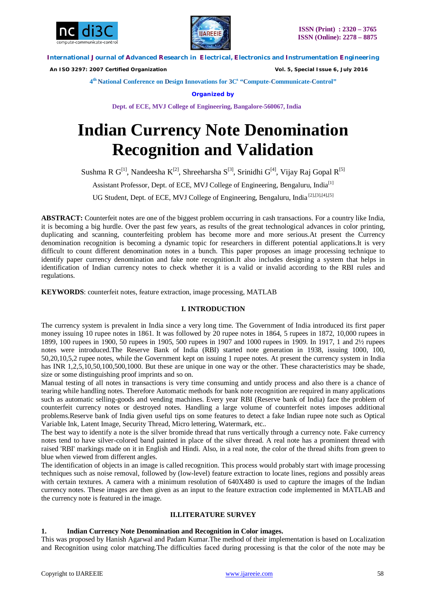



 *An ISO 3297: 2007 Certified Organization Vol. 5, Special Issue 6, July 2016*

**4 th National Conference on Design Innovations for 3C s "Compute-Communicate-Control"** 

**Organized by**

**Dept. of ECE, MVJ College of Engineering, Bangalore-560067, India**

# **Indian Currency Note Denomination Recognition and Validation**

Sushma R  $G^{[1]}$ , Nandeesha  $K^{[2]}$ , Shreeharsha  $S^{[3]}$ , Srinidhi  $G^{[4]}$ , Vijay Raj Gopal R<sup>[5]</sup>

Assistant Professor, Dept. of ECE, MVJ College of Engineering, Bengaluru, India<sup>[1]</sup>

UG Student, Dept. of ECE, MVJ College of Engineering, Bengaluru, India [2],[3],[4],[5]

**ABSTRACT:** Counterfeit notes are one of the biggest problem occurring in cash transactions. For a country like India, it is becoming a big hurdle. Over the past few years, as results of the great technological advances in color printing, duplicating and scanning, counterfeiting problem has become more and more serious.At present the Currency denomination recognition is becoming a dynamic topic for researchers in different potential applications.It is very difficult to count different denomination notes in a bunch. This paper proposes an image processing technique to identify paper currency denomination and fake note recognition.It also includes designing a system that helps in identification of Indian currency notes to check whether it is a valid or invalid according to the RBI rules and regulations.

**KEYWORDS**: counterfeit notes, feature extraction, image processing, MATLAB

# **I. INTRODUCTION**

The currency system is prevalent in India since a very long time. The Government of India introduced its first paper money issuing 10 rupee notes in 1861. It was followed by 20 rupee notes in 1864, 5 rupees in 1872, 10,000 rupees in 1899, 100 rupees in 1900, 50 rupees in 1905, 500 rupees in 1907 and 1000 rupees in 1909. In 1917, 1 and 2½ rupees notes were introduced.The Reserve Bank of India (RBI) started note generation in 1938, issuing 1000, 100, 50,20,10,5,2 rupee notes, while the Government kept on issuing 1 rupee notes. At present the currency system in India has INR 1,2,5,10,50,100,500,1000. But these are unique in one way or the other. These characteristics may be shade, size or some distinguishing proof imprints and so on.

Manual testing of all notes in transactions is very time consuming and untidy process and also there is a chance of tearing while handling notes. Therefore Automatic methods for bank note recognition are required in many applications such as automatic selling-goods and vending machines. Every year RBI (Reserve bank of India) face the problem of counterfeit currency notes or destroyed notes. Handling a large volume of counterfeit notes imposes additional problems.Reserve bank of India given useful tips on some features to detect a fake Indian rupee note such as Optical Variable Ink, Latent Image, Security Thread, Micro lettering, Watermark, etc..

The best way to identify a note is the silver bromide thread that runs vertically through a currency note. Fake currency notes tend to have silver-colored band painted in place of the silver thread. A real note has a prominent thread with raised 'RBI' markings made on it in English and Hindi. Also, in a real note, the color of the thread shifts from green to blue when viewed from different angles.

The identification of objects in an image is called recognition. This process would probably start with image processing techniques such as noise removal, followed by (low-level) feature extraction to locate lines, regions and possibly areas with certain textures. A camera with a minimum resolution of 640X480 is used to capture the images of the Indian currency notes. These images are then given as an input to the feature extraction code implemented in MATLAB and the currency note is featured in the image.

# **II.LITERATURE SURVEY**

# **1. Indian Currency Note Denomination and Recognition in Color images.**

This was proposed by Hanish Agarwal and Padam Kumar.The method of their implementation is based on Localization and Recognition using color matching.The difficulties faced during processing is that the color of the note may be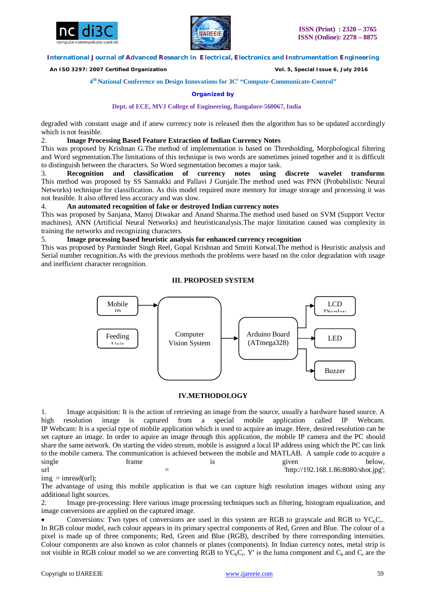



 *An ISO 3297: 2007 Certified Organization Vol. 5, Special Issue 6, July 2016*

**4 th National Conference on Design Innovations for 3C s "Compute-Communicate-Control"** 

#### **Organized by**

#### **Dept. of ECE, MVJ College of Engineering, Bangalore-560067, India**

degraded with constant usage and if anew currency note is released then the algorithm has to be updated accordingly which is not feasible.

#### 2. **Image Processing Based Feature Extraction of Indian Currency Notes**

This was proposed by Krishnan G.The method of implementation is based on Thresholding, Morphological filtering and Word segmentation.The limitations of this technique is two words are sometimes joined together and it is difficult to distinguish between the characters. So Word segmentation becomes a major task.

3. **Recognition and classification of currency notes using discrete wavelet transforms** This method was proposed by SS Sannakki and Pallavi J Gunjale.The method used was PNN (Probabilistic Neural Networks) technique for classification. As this model required more memory for image storage and processing it was not feasible. It also offered less accuracy and was slow.

#### 4. **An automated recognition of fake or destroyed Indian currency notes**

This was proposed by Sanjana, Manoj Diwakar and Anand Sharma.The method used based on SVM (Support Vector machines), ANN (Artificial Neural Networks) and heuristicanalysis.The major limitation caused was complexity in training the networks and recognizing characters.

5. **Image processing based heuristic analysis for enhanced currency recognition**

This was proposed by Parminder Singh Reel, Gopal Krishnan and Smriti Kotwal.The method is Heuristic analysis and Serial number recognition.As with the previous methods the problems were based on the color degradation with usage and inefficient character recognition.

#### **III. PROPOSED SYSTEM**



#### **IV.METHODOLOGY**

1. Image acquisition: It is the action of retrieving an image from the source, usually a hardware based source. A high resolution image is captured from a special mobile application called IP Webcam. high resolution image is captured from a special mobile application called IP Webcam. IP Webcam: It is a special type of mobile application which is used to acquire an image. Here, desired resolution can be set capture an image. In order to aquire an image through this application, the mobile IP camera and the PC should share the same network. On starting the video stream, mobile is assigned a local IP address using which the PC can link to the mobile camera. The communication is achieved between the mobile and MATLAB. A sample code to acquire a single strain frame is is given below,  $=$   $\frac{1}{2}$   $\frac{1}{2}$   $\frac{1}{2}$   $\frac{1}{2}$   $\frac{1}{2}$   $\frac{1}{2}$   $\frac{1}{2}$   $\frac{1}{2}$   $\frac{1}{2}$   $\frac{1}{2}$   $\frac{1}{2}$   $\frac{1}{2}$   $\frac{1}{2}$   $\frac{1}{2}$   $\frac{1}{2}$   $\frac{1}{2}$   $\frac{1}{2}$   $\frac{1}{2}$   $\frac{1}{2}$   $\frac{1}{2}$   $\frac{1}{2}$   $\frac{1}{2$ 

#### $img = imread(url);$

The advantage of using this mobile application is that we can capture high resolution images without using any additional light sources.

2. Image pre-processing: Here various image processing techniques such as filtering, histogram equalization, and image conversions are applied on the captured image.

• Conversions: Two types of conversions are used in this system are RGB to grayscale and RGB to  $\text{YC}_{\text{b}}\text{C}_{\text{r}}$ . In RGB colour model, each colour appears in its primary spectral components of Red, Green and Blue. The colour of a pixel is made up of three components; Red, Green and Blue (RGB), described by there corresponding intensities. Colour components are also known as color channels or planes (components). In Indian currency notes, metal strip is not visible in RGB colour model so we are converting RGB to  $YC_bC_r$ . Y' is the luma component and  $C_b$  and  $C_r$  are the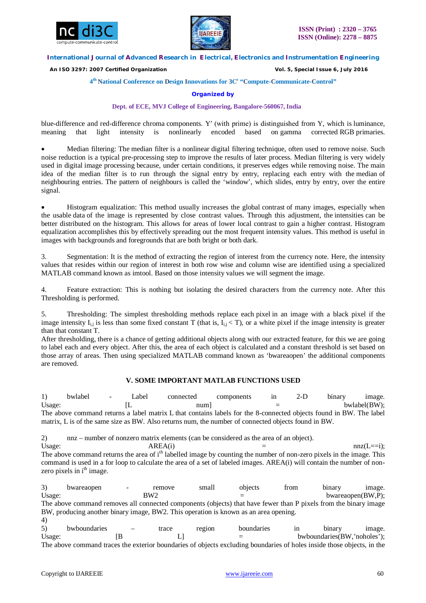



 *An ISO 3297: 2007 Certified Organization Vol. 5, Special Issue 6, July 2016*

#### **4 th National Conference on Design Innovations for 3C s "Compute-Communicate-Control"**

#### **Organized by**

#### **Dept. of ECE, MVJ College of Engineering, Bangalore-560067, India**

blue-difference and red-difference chroma components. Y′ (with prime) is distinguished from Y, which is luminance, meaning that light intensity is nonlinearly encoded based on gamma corrected RGB primaries.

 Median filtering: The median filter is a nonlinear digital filtering technique, often used to remove noise. Such noise reduction is a typical pre-processing step to improve the results of later process. Median filtering is very widely used in digital image processing because, under certain conditions, it preserves edges while removing noise. The main idea of the median filter is to run through the signal entry by entry, replacing each entry with the median of neighbouring entries. The pattern of neighbours is called the 'window', which slides, entry by entry, over the entire signal.

 Histogram equalization: This method usually increases the global contrast of many images, especially when the usable data of the image is represented by close contrast values. Through this adjustment, the intensities can be better distributed on the histogram. This allows for areas of lower local contrast to gain a higher contrast. Histogram equalization accomplishes this by effectively spreading out the most frequent intensity values. This method is useful in images with backgrounds and foregrounds that are both bright or both dark.

3. Segmentation: It is the method of extracting the region of interest from the currency note. Here, the intensity values that resides within our region of interest in both row wise and column wise are identified using a specialized MATLAB command known as imtool. Based on those intensity values we will segment the image.

4. Feature extraction: This is nothing but isolating the desired characters from the currency note. After this Thresholding is performed.

5. Thresholding: The simplest thresholding methods replace each pixel in an image with a black pixel if the image intensity  $I_{i,j}$  is less than some fixed constant T (that is,  $I_{i,j} < T$ ), or a white pixel if the image intensity is greater than that constant T.

After thresholding, there is a chance of getting additional objects along with our extracted feature, for this we are going to label each and every object. After this, the area of each object is calculated and a constant threshold is set based on those array of areas. Then using specialized MATLAB command known as 'bwareaopen' the additional components are removed.

#### **V. SOME IMPORTANT MATLAB FUNCTIONS USED**

1) bwlabel - Label connected components in 2-D binary image. Usage:  $[L \t num]$  = bwlabel(BW); The above command returns a label matrix L that contains labels for the 8-connected objects found in BW. The label matrix, L is of the same size as BW. Also returns num, the number of connected objects found in BW.

2) nnz – number of nonzero matrix elements (can be considered as the area of an object). Usage:  $AREA(i)$  = nnz(L==i); The above command returns the area of i<sup>th</sup> labelled image by counting the number of non-zero pixels in the image. This command is used in a for loop to calculate the area of a set of labeled images. AREA(i) will contain the number of nonzero pixels in i<sup>th</sup> image.

3) bwareaopen - remove small objects from binary image. Usage: BW2  $BW2 =$  bwareaopen(BW,P); The above command removes all connected components (objects) that have fewer than P pixels from the binary image BW, producing another binary image, BW2. This operation is known as an area opening. 4) 5) bwboundaries – trace region boundaries in binary image.

Usage:  $[B \t L] =$  bwboundaries(BW,'noholes'); The above command traces the exterior boundaries of objects excluding boundaries of holes inside those objects, in the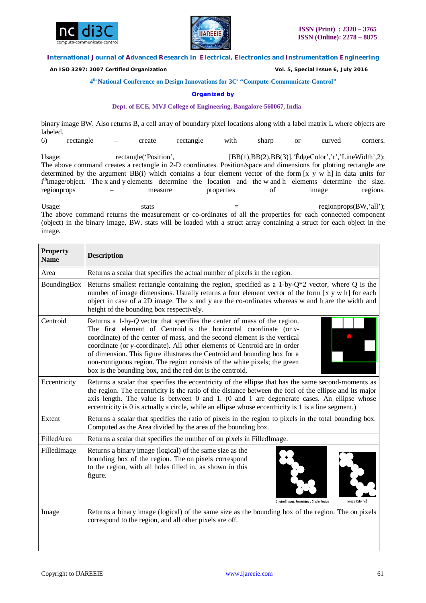



 *An ISO 3297: 2007 Certified Organization Vol. 5, Special Issue 6, July 2016*

#### **4 th National Conference on Design Innovations for 3C s "Compute-Communicate-Control"**

#### **Organized by**

#### **Dept. of ECE, MVJ College of Engineering, Bangalore-560067, India**

binary image BW. Also returns B, a cell array of boundary pixel locations along with a label matrix L where objects are labeled.

6) rectangle – create rectangle with sharp or curved corners. Usage: rectangle('Position', [BB(1),BB(2),BB(3)],'ÉdgeColor','r','LineWidth',2); The above command creates a rectangle in 2-D coordinates. Position/space and dimensions for plotting rectangle are determined by the argument BB(i) which contains a four element vector of the form [x y w h] in data units for i<sup>th</sup>image/object. The x and y elements determine the location and the w and h elements determine the size. regionprops – measure properties of image regions.

Usage: stats stats = regionprops(BW,'all'); The above command returns the measurement or co-ordinates of all the properties for each connected component (object) in the binary image, BW. stats will be loaded with a struct array containing a struct for each object in the image.

| <b>Property</b><br><b>Name</b> | <b>Description</b>                                                                                                                                                                                                                                                                                                                                                                                                                                                                                                                   |
|--------------------------------|--------------------------------------------------------------------------------------------------------------------------------------------------------------------------------------------------------------------------------------------------------------------------------------------------------------------------------------------------------------------------------------------------------------------------------------------------------------------------------------------------------------------------------------|
| Area                           | Returns a scalar that specifies the actual number of pixels in the region.                                                                                                                                                                                                                                                                                                                                                                                                                                                           |
| BoundingBox                    | Returns smallest rectangle containing the region, specified as a 1-by- $Q^*2$ vector, where Q is the<br>number of image dimensions. Usually returns a four element vector of the form [x y w h] for each<br>object in case of a 2D image. The x and y are the co-ordinates whereas w and h are the width and<br>height of the bounding box respectively.                                                                                                                                                                             |
| Centroid                       | Returns a 1-by- $Q$ vector that specifies the center of mass of the region.<br>The first element of Centroid is the horizontal coordinate (or $x$ -<br>coordinate) of the center of mass, and the second element is the vertical<br>coordinate (or y-coordinate). All other elements of Centroid are in order<br>of dimension. This figure illustrates the Centroid and bounding box for a<br>non-contiguous region. The region consists of the white pixels; the green<br>box is the bounding box, and the red dot is the centroid. |
| Eccentricity                   | Returns a scalar that specifies the eccentricity of the ellipse that has the same second-moments as<br>the region. The eccentricity is the ratio of the distance between the foci of the ellipse and its major<br>axis length. The value is between 0 and 1. (0 and 1 are degenerate cases. An ellipse whose<br>eccentricity is 0 is actually a circle, while an ellipse whose eccentricity is 1 is a line segment.)                                                                                                                 |
| Extent                         | Returns a scalar that specifies the ratio of pixels in the region to pixels in the total bounding box.<br>Computed as the Area divided by the area of the bounding box.                                                                                                                                                                                                                                                                                                                                                              |
| FilledArea                     | Returns a scalar that specifies the number of on pixels in Filled Image.                                                                                                                                                                                                                                                                                                                                                                                                                                                             |
| FilledImage                    | Returns a binary image (logical) of the same size as the<br>bounding box of the region. The on pixels correspond<br>to the region, with all holes filled in, as shown in this<br>figure.<br>Original Image, Containing a Single Region<br>Image Returned                                                                                                                                                                                                                                                                             |
| Image                          | Returns a binary image (logical) of the same size as the bounding box of the region. The on pixels<br>correspond to the region, and all other pixels are off.                                                                                                                                                                                                                                                                                                                                                                        |